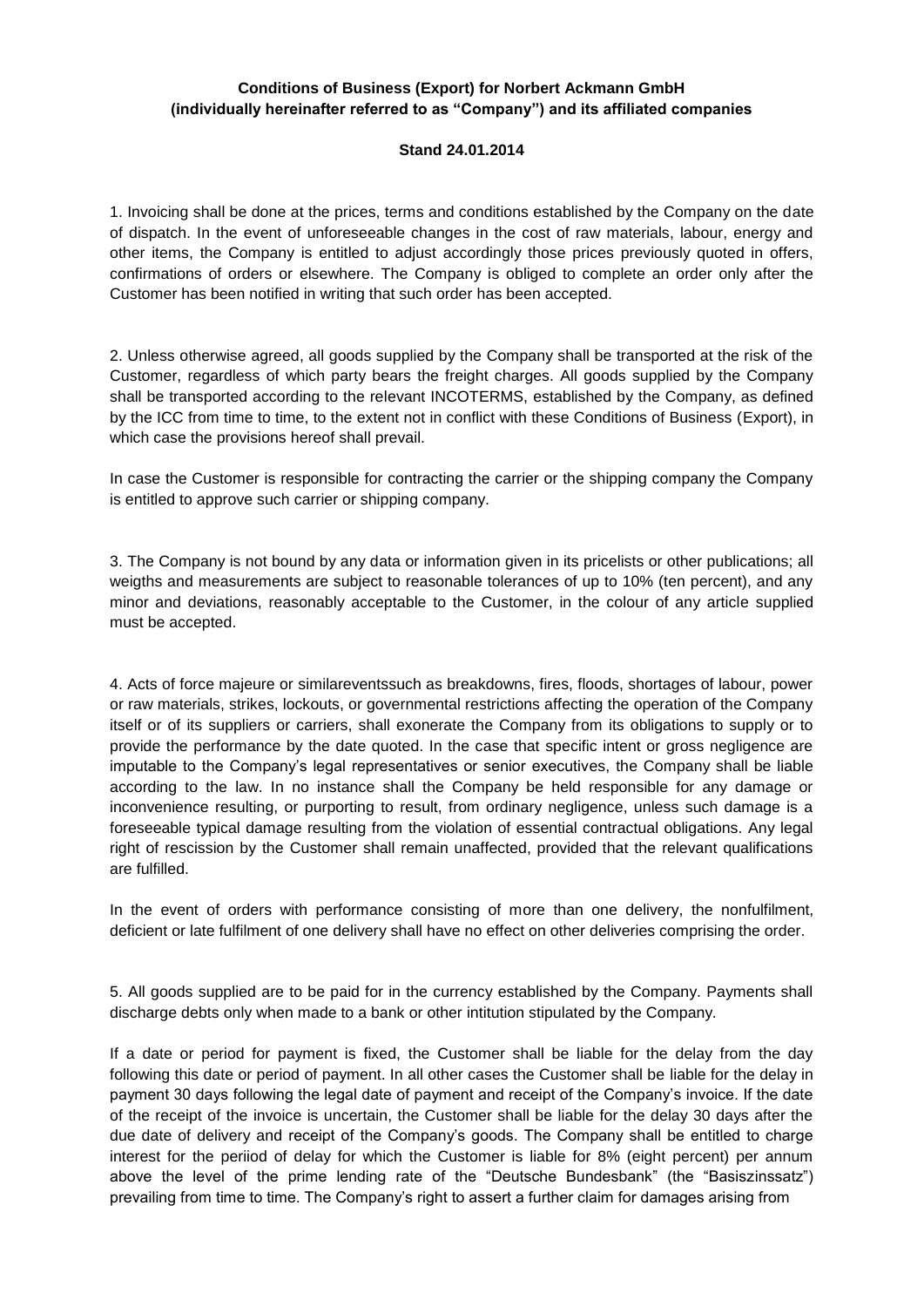## **Conditions of Business (Export) for Norbert Ackmann GmbH (individually hereinafter referred to as "Company") and its affiliated companies**

## **Stand 24.01.2014**

1. Invoicing shall be done at the prices, terms and conditions established by the Company on the date of dispatch. In the event of unforeseeable changes in the cost of raw materials, labour, energy and other items, the Company is entitled to adjust accordingly those prices previously quoted in offers, confirmations of orders or elsewhere. The Company is obliged to complete an order only after the Customer has been notified in writing that such order has been accepted.

2. Unless otherwise agreed, all goods supplied by the Company shall be transported at the risk of the Customer, regardless of which party bears the freight charges. All goods supplied by the Company shall be transported according to the relevant INCOTERMS, established by the Company, as defined by the ICC from time to time, to the extent not in conflict with these Conditions of Business (Export), in which case the provisions hereof shall prevail.

In case the Customer is responsible for contracting the carrier or the shipping company the Company is entitled to approve such carrier or shipping company.

3. The Company is not bound by any data or information given in its pricelists or other publications; all weigths and measurements are subject to reasonable tolerances of up to 10% (ten percent), and any minor and deviations, reasonably acceptable to the Customer, in the colour of any article supplied must be accepted.

4. Acts of force majeure or similareventssuch as breakdowns, fires, floods, shortages of labour, power or raw materials, strikes, lockouts, or governmental restrictions affecting the operation of the Company itself or of its suppliers or carriers, shall exonerate the Company from its obligations to supply or to provide the performance by the date quoted. In the case that specific intent or gross negligence are imputable to the Company's legal representatives or senior executives, the Company shall be liable according to the law. In no instance shall the Company be held responsible for any damage or inconvenience resulting, or purporting to result, from ordinary negligence, unless such damage is a foreseeable typical damage resulting from the violation of essential contractual obligations. Any legal right of rescission by the Customer shall remain unaffected, provided that the relevant qualifications are fulfilled.

In the event of orders with performance consisting of more than one delivery, the nonfulfilment, deficient or late fulfilment of one delivery shall have no effect on other deliveries comprising the order.

5. All goods supplied are to be paid for in the currency established by the Company. Payments shall discharge debts only when made to a bank or other intitution stipulated by the Company.

If a date or period for payment is fixed, the Customer shall be liable for the delay from the day following this date or period of payment. In all other cases the Customer shall be liable for the delay in payment 30 days following the legal date of payment and receipt of the Company's invoice. If the date of the receipt of the invoice is uncertain, the Customer shall be liable for the delay 30 days after the due date of delivery and receipt of the Company's goods. The Company shall be entitled to charge interest for the periiod of delay for which the Customer is liable for 8% (eight percent) per annum above the level of the prime lending rate of the "Deutsche Bundesbank" (the "Basiszinssatz") prevailing from time to time. The Company's right to assert a further claim for damages arising from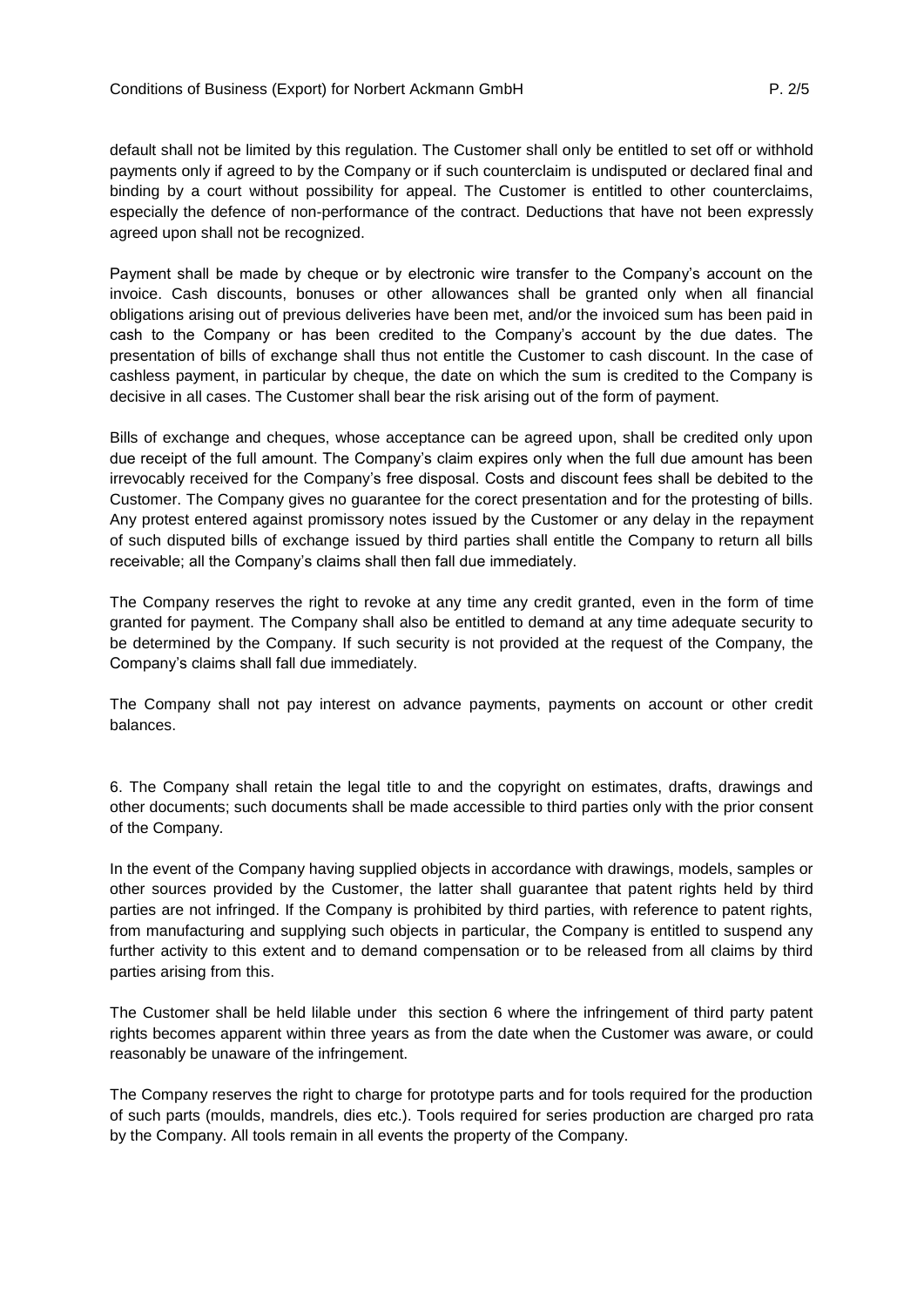default shall not be limited by this regulation. The Customer shall only be entitled to set off or withhold payments only if agreed to by the Company or if such counterclaim is undisputed or declared final and binding by a court without possibility for appeal. The Customer is entitled to other counterclaims, especially the defence of non-performance of the contract. Deductions that have not been expressly agreed upon shall not be recognized.

Payment shall be made by cheque or by electronic wire transfer to the Company's account on the invoice. Cash discounts, bonuses or other allowances shall be granted only when all financial obligations arising out of previous deliveries have been met, and/or the invoiced sum has been paid in cash to the Company or has been credited to the Company's account by the due dates. The presentation of bills of exchange shall thus not entitle the Customer to cash discount. In the case of cashless payment, in particular by cheque, the date on which the sum is credited to the Company is decisive in all cases. The Customer shall bear the risk arising out of the form of payment.

Bills of exchange and cheques, whose acceptance can be agreed upon, shall be credited only upon due receipt of the full amount. The Company's claim expires only when the full due amount has been irrevocably received for the Company's free disposal. Costs and discount fees shall be debited to the Customer. The Company gives no guarantee for the corect presentation and for the protesting of bills. Any protest entered against promissory notes issued by the Customer or any delay in the repayment of such disputed bills of exchange issued by third parties shall entitle the Company to return all bills receivable; all the Company's claims shall then fall due immediately.

The Company reserves the right to revoke at any time any credit granted, even in the form of time granted for payment. The Company shall also be entitled to demand at any time adequate security to be determined by the Company. If such security is not provided at the request of the Company, the Company's claims shall fall due immediately.

The Company shall not pay interest on advance payments, payments on account or other credit balances.

6. The Company shall retain the legal title to and the copyright on estimates, drafts, drawings and other documents; such documents shall be made accessible to third parties only with the prior consent of the Company.

In the event of the Company having supplied objects in accordance with drawings, models, samples or other sources provided by the Customer, the latter shall guarantee that patent rights held by third parties are not infringed. If the Company is prohibited by third parties, with reference to patent rights, from manufacturing and supplying such objects in particular, the Company is entitled to suspend any further activity to this extent and to demand compensation or to be released from all claims by third parties arising from this.

The Customer shall be held lilable under this section 6 where the infringement of third party patent rights becomes apparent within three years as from the date when the Customer was aware, or could reasonably be unaware of the infringement.

The Company reserves the right to charge for prototype parts and for tools required for the production of such parts (moulds, mandrels, dies etc.). Tools required for series production are charged pro rata by the Company. All tools remain in all events the property of the Company.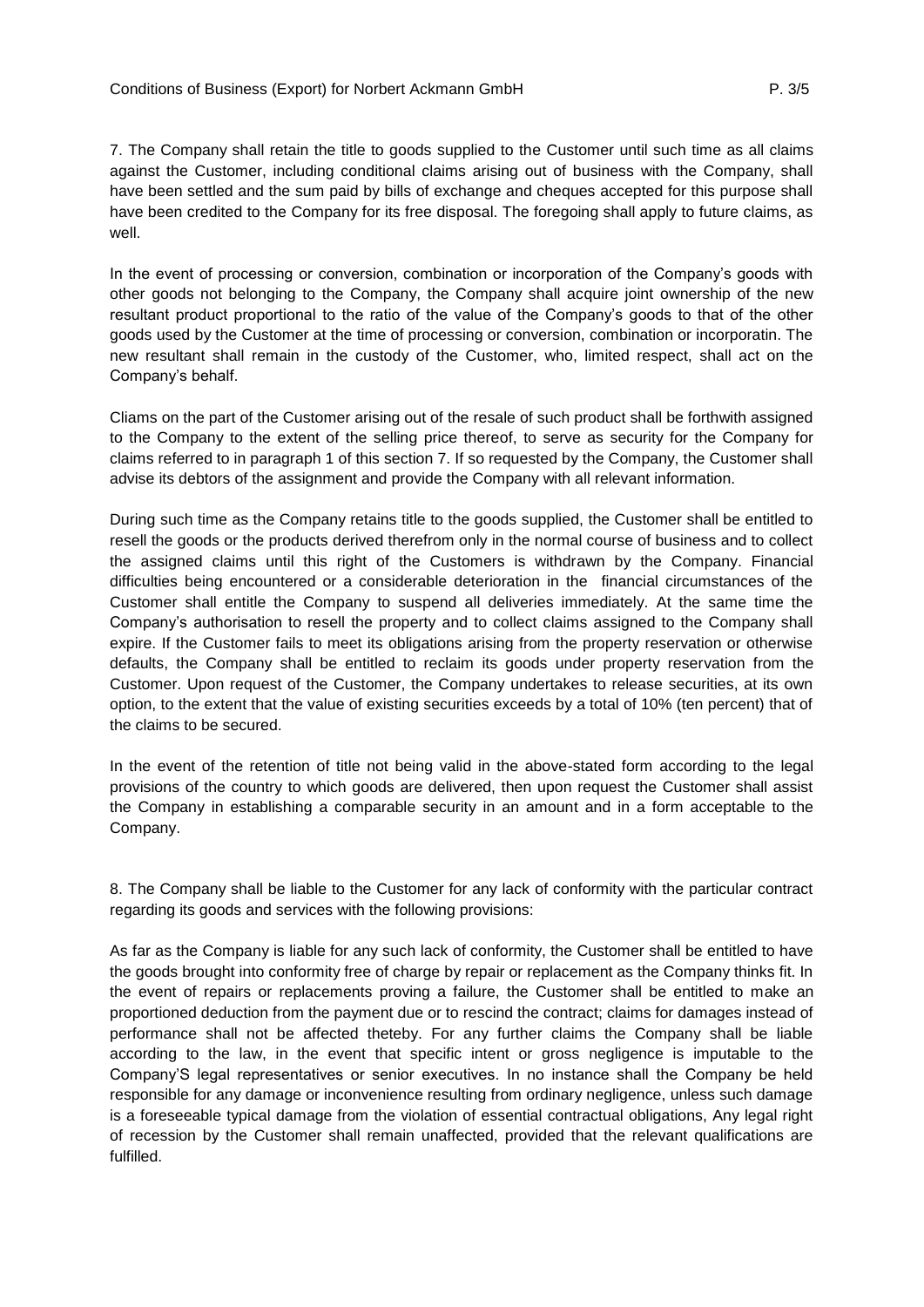7. The Company shall retain the title to goods supplied to the Customer until such time as all claims against the Customer, including conditional claims arising out of business with the Company, shall have been settled and the sum paid by bills of exchange and cheques accepted for this purpose shall have been credited to the Company for its free disposal. The foregoing shall apply to future claims, as well.

In the event of processing or conversion, combination or incorporation of the Company's goods with other goods not belonging to the Company, the Company shall acquire joint ownership of the new resultant product proportional to the ratio of the value of the Company's goods to that of the other goods used by the Customer at the time of processing or conversion, combination or incorporatin. The new resultant shall remain in the custody of the Customer, who, limited respect, shall act on the Company's behalf.

Cliams on the part of the Customer arising out of the resale of such product shall be forthwith assigned to the Company to the extent of the selling price thereof, to serve as security for the Company for claims referred to in paragraph 1 of this section 7. If so requested by the Company, the Customer shall advise its debtors of the assignment and provide the Company with all relevant information.

During such time as the Company retains title to the goods supplied, the Customer shall be entitled to resell the goods or the products derived therefrom only in the normal course of business and to collect the assigned claims until this right of the Customers is withdrawn by the Company. Financial difficulties being encountered or a considerable deterioration in the financial circumstances of the Customer shall entitle the Company to suspend all deliveries immediately. At the same time the Company's authorisation to resell the property and to collect claims assigned to the Company shall expire. If the Customer fails to meet its obligations arising from the property reservation or otherwise defaults, the Company shall be entitled to reclaim its goods under property reservation from the Customer. Upon request of the Customer, the Company undertakes to release securities, at its own option, to the extent that the value of existing securities exceeds by a total of 10% (ten percent) that of the claims to be secured.

In the event of the retention of title not being valid in the above-stated form according to the legal provisions of the country to which goods are delivered, then upon request the Customer shall assist the Company in establishing a comparable security in an amount and in a form acceptable to the Company.

8. The Company shall be liable to the Customer for any lack of conformity with the particular contract regarding its goods and services with the following provisions:

As far as the Company is liable for any such lack of conformity, the Customer shall be entitled to have the goods brought into conformity free of charge by repair or replacement as the Company thinks fit. In the event of repairs or replacements proving a failure, the Customer shall be entitled to make an proportioned deduction from the payment due or to rescind the contract; claims for damages instead of performance shall not be affected theteby. For any further claims the Company shall be liable according to the law, in the event that specific intent or gross negligence is imputable to the Company'S legal representatives or senior executives. In no instance shall the Company be held responsible for any damage or inconvenience resulting from ordinary negligence, unless such damage is a foreseeable typical damage from the violation of essential contractual obligations, Any legal right of recession by the Customer shall remain unaffected, provided that the relevant qualifications are fulfilled.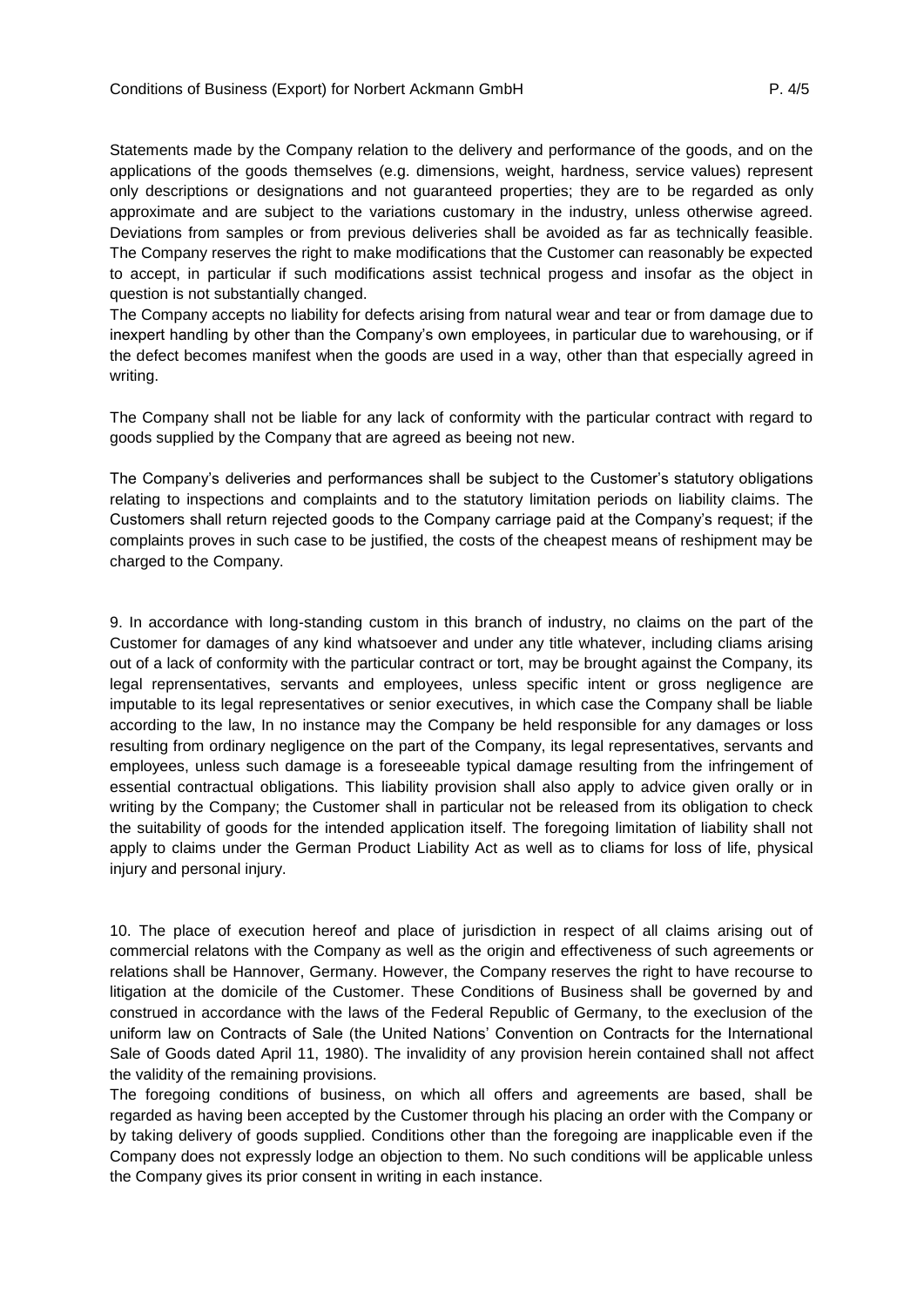Statements made by the Company relation to the delivery and performance of the goods, and on the applications of the goods themselves (e.g. dimensions, weight, hardness, service values) represent only descriptions or designations and not guaranteed properties; they are to be regarded as only approximate and are subject to the variations customary in the industry, unless otherwise agreed. Deviations from samples or from previous deliveries shall be avoided as far as technically feasible. The Company reserves the right to make modifications that the Customer can reasonably be expected to accept, in particular if such modifications assist technical progess and insofar as the object in question is not substantially changed.

The Company accepts no liability for defects arising from natural wear and tear or from damage due to inexpert handling by other than the Company's own employees, in particular due to warehousing, or if the defect becomes manifest when the goods are used in a way, other than that especially agreed in writing.

The Company shall not be liable for any lack of conformity with the particular contract with regard to goods supplied by the Company that are agreed as beeing not new.

The Company's deliveries and performances shall be subject to the Customer's statutory obligations relating to inspections and complaints and to the statutory limitation periods on liability claims. The Customers shall return rejected goods to the Company carriage paid at the Company's request; if the complaints proves in such case to be justified, the costs of the cheapest means of reshipment may be charged to the Company.

9. In accordance with long-standing custom in this branch of industry, no claims on the part of the Customer for damages of any kind whatsoever and under any title whatever, including cliams arising out of a lack of conformity with the particular contract or tort, may be brought against the Company, its legal reprensentatives, servants and employees, unless specific intent or gross negligence are imputable to its legal representatives or senior executives, in which case the Company shall be liable according to the law, In no instance may the Company be held responsible for any damages or loss resulting from ordinary negligence on the part of the Company, its legal representatives, servants and employees, unless such damage is a foreseeable typical damage resulting from the infringement of essential contractual obligations. This liability provision shall also apply to advice given orally or in writing by the Company; the Customer shall in particular not be released from its obligation to check the suitability of goods for the intended application itself. The foregoing limitation of liability shall not apply to claims under the German Product Liability Act as well as to cliams for loss of life, physical injury and personal injury.

10. The place of execution hereof and place of jurisdiction in respect of all claims arising out of commercial relatons with the Company as well as the origin and effectiveness of such agreements or relations shall be Hannover, Germany. However, the Company reserves the right to have recourse to litigation at the domicile of the Customer. These Conditions of Business shall be governed by and construed in accordance with the laws of the Federal Republic of Germany, to the execlusion of the uniform law on Contracts of Sale (the United Nations' Convention on Contracts for the International Sale of Goods dated April 11, 1980). The invalidity of any provision herein contained shall not affect the validity of the remaining provisions.

The foregoing conditions of business, on which all offers and agreements are based, shall be regarded as having been accepted by the Customer through his placing an order with the Company or by taking delivery of goods supplied. Conditions other than the foregoing are inapplicable even if the Company does not expressly lodge an objection to them. No such conditions will be applicable unless the Company gives its prior consent in writing in each instance.